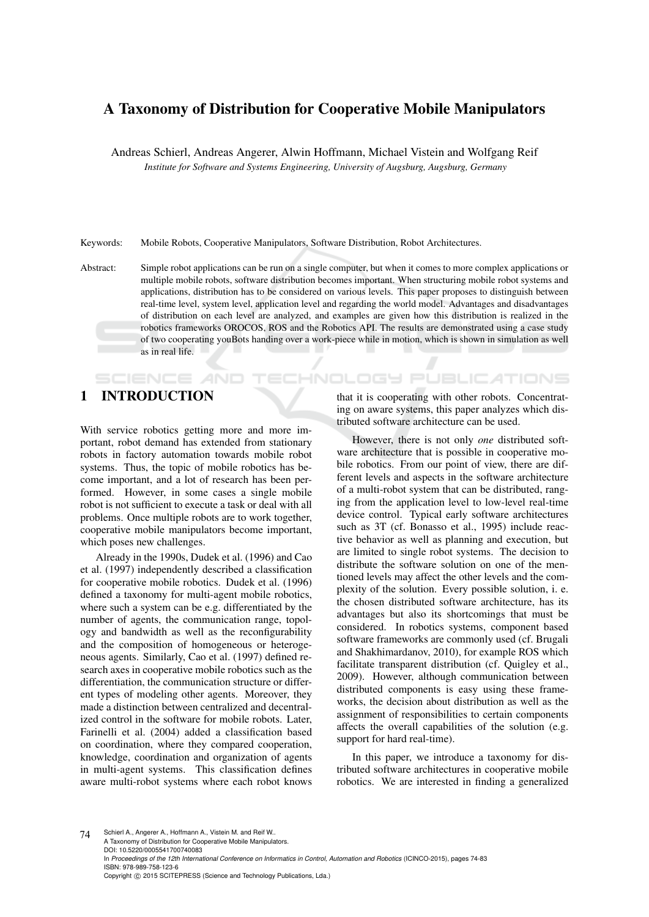# A Taxonomy of Distribution for Cooperative Mobile Manipulators

Andreas Schierl, Andreas Angerer, Alwin Hoffmann, Michael Vistein and Wolfgang Reif *Institute for Software and Systems Engineering, University of Augsburg, Augsburg, Germany*

Keywords: Mobile Robots, Cooperative Manipulators, Software Distribution, Robot Architectures.

Abstract: Simple robot applications can be run on a single computer, but when it comes to more complex applications or multiple mobile robots, software distribution becomes important. When structuring mobile robot systems and applications, distribution has to be considered on various levels. This paper proposes to distinguish between real-time level, system level, application level and regarding the world model. Advantages and disadvantages of distribution on each level are analyzed, and examples are given how this distribution is realized in the robotics frameworks OROCOS, ROS and the Robotics API. The results are demonstrated using a case study of two cooperating youBots handing over a work-piece while in motion, which is shown in simulation as well as in real life.

# 1 INTRODUCTION

**SCIENCE AND** 

With service robotics getting more and more important, robot demand has extended from stationary robots in factory automation towards mobile robot systems. Thus, the topic of mobile robotics has become important, and a lot of research has been performed. However, in some cases a single mobile robot is not sufficient to execute a task or deal with all problems. Once multiple robots are to work together, cooperative mobile manipulators become important, which poses new challenges.

Already in the 1990s, Dudek et al. (1996) and Cao et al. (1997) independently described a classification for cooperative mobile robotics. Dudek et al. (1996) defined a taxonomy for multi-agent mobile robotics, where such a system can be e.g. differentiated by the number of agents, the communication range, topology and bandwidth as well as the reconfigurability and the composition of homogeneous or heterogeneous agents. Similarly, Cao et al. (1997) defined research axes in cooperative mobile robotics such as the differentiation, the communication structure or different types of modeling other agents. Moreover, they made a distinction between centralized and decentralized control in the software for mobile robots. Later, Farinelli et al. (2004) added a classification based on coordination, where they compared cooperation, knowledge, coordination and organization of agents in multi-agent systems. This classification defines aware multi-robot systems where each robot knows

that it is cooperating with other robots. Concentrating on aware systems, this paper analyzes which distributed software architecture can be used.

CHNOLOGY PUBLICATIONS

However, there is not only *one* distributed software architecture that is possible in cooperative mobile robotics. From our point of view, there are different levels and aspects in the software architecture of a multi-robot system that can be distributed, ranging from the application level to low-level real-time device control. Typical early software architectures such as 3T (cf. Bonasso et al., 1995) include reactive behavior as well as planning and execution, but are limited to single robot systems. The decision to distribute the software solution on one of the mentioned levels may affect the other levels and the complexity of the solution. Every possible solution, i. e. the chosen distributed software architecture, has its advantages but also its shortcomings that must be considered. In robotics systems, component based software frameworks are commonly used (cf. Brugali and Shakhimardanov, 2010), for example ROS which facilitate transparent distribution (cf. Quigley et al., 2009). However, although communication between distributed components is easy using these frameworks, the decision about distribution as well as the assignment of responsibilities to certain components affects the overall capabilities of the solution (e.g. support for hard real-time).

In this paper, we introduce a taxonomy for distributed software architectures in cooperative mobile robotics. We are interested in finding a generalized

74 Schierl A., Angerer A., Hoffmann A., Vistein M. and Reif W. A Taxonomy of Distribution for Cooperative Mobile Manipulators. DOI: 10.5220/0005541700740083 In *Proceedings of the 12th International Conference on Informatics in Control, Automation and Robotics* (ICINCO-2015), pages 74-83 ISBN: 978-989-758-123-6 Copyright (C) 2015 SCITEPRESS (Science and Technology Publications, Lda.)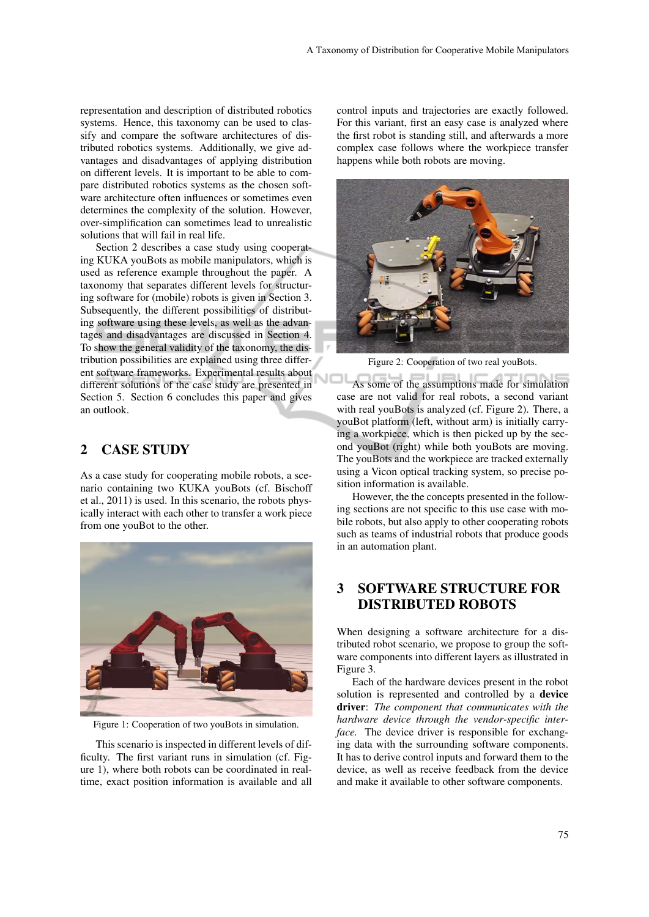representation and description of distributed robotics systems. Hence, this taxonomy can be used to classify and compare the software architectures of distributed robotics systems. Additionally, we give advantages and disadvantages of applying distribution on different levels. It is important to be able to compare distributed robotics systems as the chosen software architecture often influences or sometimes even determines the complexity of the solution. However, over-simplification can sometimes lead to unrealistic solutions that will fail in real life.

Section 2 describes a case study using cooperating KUKA youBots as mobile manipulators, which is used as reference example throughout the paper. A taxonomy that separates different levels for structuring software for (mobile) robots is given in Section 3. Subsequently, the different possibilities of distributing software using these levels, as well as the advantages and disadvantages are discussed in Section 4. To show the general validity of the taxonomy, the distribution possibilities are explained using three different software frameworks. Experimental results about different solutions of the case study are presented in Section 5. Section 6 concludes this paper and gives an outlook.

## 2 CASE STUDY

As a case study for cooperating mobile robots, a scenario containing two KUKA youBots (cf. Bischoff et al., 2011) is used. In this scenario, the robots physically interact with each other to transfer a work piece from one youBot to the other.



Figure 1: Cooperation of two youBots in simulation.

This scenario is inspected in different levels of difficulty. The first variant runs in simulation (cf. Figure 1), where both robots can be coordinated in realtime, exact position information is available and all control inputs and trajectories are exactly followed. For this variant, first an easy case is analyzed where the first robot is standing still, and afterwards a more complex case follows where the workpiece transfer happens while both robots are moving.



Figure 2: Cooperation of two real youBots.

VOL As some of the assumptions made for simulation case are not valid for real robots, a second variant with real youBots is analyzed (cf. Figure 2). There, a youBot platform (left, without arm) is initially carrying a workpiece, which is then picked up by the second youBot (right) while both youBots are moving. The youBots and the workpiece are tracked externally using a Vicon optical tracking system, so precise position information is available.

However, the the concepts presented in the following sections are not specific to this use case with mobile robots, but also apply to other cooperating robots such as teams of industrial robots that produce goods in an automation plant.

## 3 SOFTWARE STRUCTURE FOR DISTRIBUTED ROBOTS

When designing a software architecture for a distributed robot scenario, we propose to group the software components into different layers as illustrated in Figure 3.

Each of the hardware devices present in the robot solution is represented and controlled by a device driver: *The component that communicates with the hardware device through the vendor-specific interface.* The device driver is responsible for exchanging data with the surrounding software components. It has to derive control inputs and forward them to the device, as well as receive feedback from the device and make it available to other software components.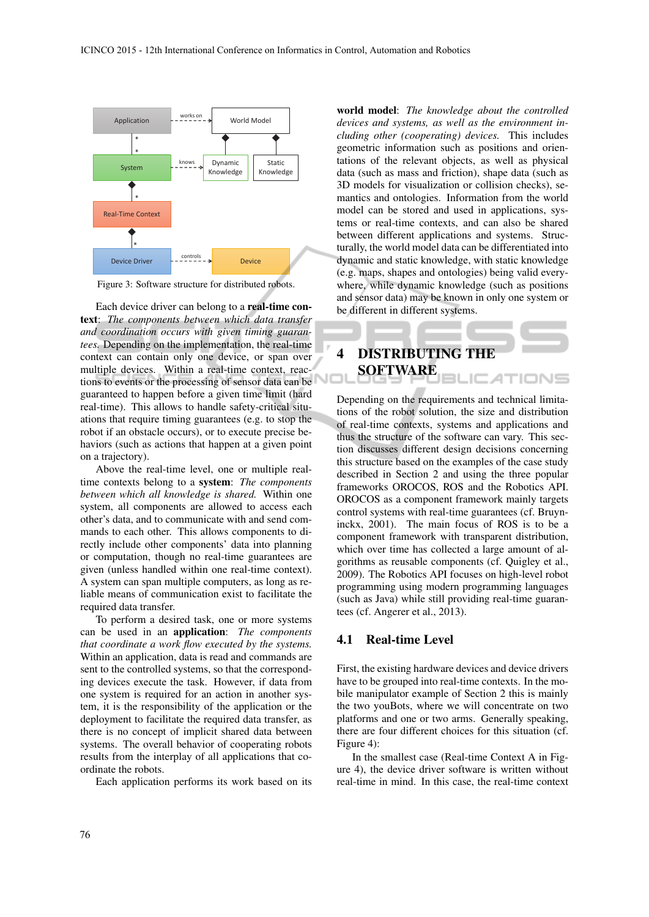

Figure 3: Software structure for distributed robots.

Each device driver can belong to a real-time context: *The components between which data transfer and coordination occurs with given timing guarantees.* Depending on the implementation, the real-time context can contain only one device, or span over multiple devices. Within a real-time context, reactions to events or the processing of sensor data can be guaranteed to happen before a given time limit (hard real-time). This allows to handle safety-critical situations that require timing guarantees (e.g. to stop the robot if an obstacle occurs), or to execute precise behaviors (such as actions that happen at a given point on a trajectory).

Above the real-time level, one or multiple realtime contexts belong to a system: *The components between which all knowledge is shared.* Within one system, all components are allowed to access each other's data, and to communicate with and send commands to each other. This allows components to directly include other components' data into planning or computation, though no real-time guarantees are given (unless handled within one real-time context). A system can span multiple computers, as long as reliable means of communication exist to facilitate the required data transfer.

To perform a desired task, one or more systems can be used in an application: *The components that coordinate a work flow executed by the systems.* Within an application, data is read and commands are sent to the controlled systems, so that the corresponding devices execute the task. However, if data from one system is required for an action in another system, it is the responsibility of the application or the deployment to facilitate the required data transfer, as there is no concept of implicit shared data between systems. The overall behavior of cooperating robots results from the interplay of all applications that coordinate the robots.

Each application performs its work based on its

world model: *The knowledge about the controlled devices and systems, as well as the environment including other (cooperating) devices.* This includes geometric information such as positions and orientations of the relevant objects, as well as physical data (such as mass and friction), shape data (such as 3D models for visualization or collision checks), semantics and ontologies. Information from the world model can be stored and used in applications, systems or real-time contexts, and can also be shared between different applications and systems. Structurally, the world model data can be differentiated into dynamic and static knowledge, with static knowledge (e.g. maps, shapes and ontologies) being valid everywhere, while dynamic knowledge (such as positions and sensor data) may be known in only one system or be different in different systems.

## 4 DISTRIBUTING THE SOFTWARE **BLICATIONS**

Depending on the requirements and technical limitations of the robot solution, the size and distribution of real-time contexts, systems and applications and thus the structure of the software can vary. This section discusses different design decisions concerning this structure based on the examples of the case study described in Section 2 and using the three popular frameworks OROCOS, ROS and the Robotics API. OROCOS as a component framework mainly targets control systems with real-time guarantees (cf. Bruyninckx, 2001). The main focus of ROS is to be a component framework with transparent distribution, which over time has collected a large amount of algorithms as reusable components (cf. Quigley et al., 2009). The Robotics API focuses on high-level robot programming using modern programming languages (such as Java) while still providing real-time guarantees (cf. Angerer et al., 2013).

## 4.1 Real-time Level

First, the existing hardware devices and device drivers have to be grouped into real-time contexts. In the mobile manipulator example of Section 2 this is mainly the two youBots, where we will concentrate on two platforms and one or two arms. Generally speaking, there are four different choices for this situation (cf. Figure 4):

In the smallest case (Real-time Context A in Figure 4), the device driver software is written without real-time in mind. In this case, the real-time context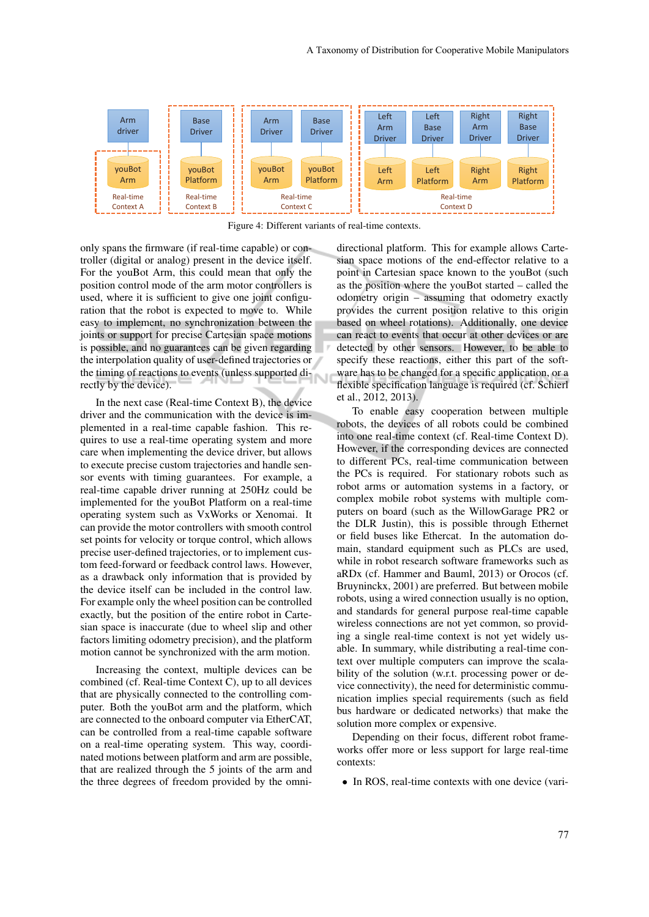

Figure 4: Different variants of real-time contexts.

only spans the firmware (if real-time capable) or controller (digital or analog) present in the device itself. For the youBot Arm, this could mean that only the position control mode of the arm motor controllers is used, where it is sufficient to give one joint configuration that the robot is expected to move to. While easy to implement, no synchronization between the joints or support for precise Cartesian space motions is possible, and no guarantees can be given regarding the interpolation quality of user-defined trajectories or the timing of reactions to events (unless supported directly by the device).

In the next case (Real-time Context B), the device driver and the communication with the device is implemented in a real-time capable fashion. This requires to use a real-time operating system and more care when implementing the device driver, but allows to execute precise custom trajectories and handle sensor events with timing guarantees. For example, a real-time capable driver running at 250Hz could be implemented for the youBot Platform on a real-time operating system such as VxWorks or Xenomai. It can provide the motor controllers with smooth control set points for velocity or torque control, which allows precise user-defined trajectories, or to implement custom feed-forward or feedback control laws. However, as a drawback only information that is provided by the device itself can be included in the control law. For example only the wheel position can be controlled exactly, but the position of the entire robot in Cartesian space is inaccurate (due to wheel slip and other factors limiting odometry precision), and the platform motion cannot be synchronized with the arm motion.

Increasing the context, multiple devices can be combined (cf. Real-time Context C), up to all devices that are physically connected to the controlling computer. Both the youBot arm and the platform, which are connected to the onboard computer via EtherCAT, can be controlled from a real-time capable software on a real-time operating system. This way, coordinated motions between platform and arm are possible, that are realized through the 5 joints of the arm and the three degrees of freedom provided by the omnidirectional platform. This for example allows Cartesian space motions of the end-effector relative to a point in Cartesian space known to the youBot (such as the position where the youBot started – called the odometry origin – assuming that odometry exactly provides the current position relative to this origin based on wheel rotations). Additionally, one device can react to events that occur at other devices or are detected by other sensors. However, to be able to specify these reactions, either this part of the software has to be changed for a specific application, or a flexible specification language is required (cf. Schierl et al., 2012, 2013).

To enable easy cooperation between multiple robots, the devices of all robots could be combined into one real-time context (cf. Real-time Context D). However, if the corresponding devices are connected to different PCs, real-time communication between the PCs is required. For stationary robots such as robot arms or automation systems in a factory, or complex mobile robot systems with multiple computers on board (such as the WillowGarage PR2 or the DLR Justin), this is possible through Ethernet or field buses like Ethercat. In the automation domain, standard equipment such as PLCs are used, while in robot research software frameworks such as aRDx (cf. Hammer and Bauml, 2013) or Orocos (cf. Bruyninckx, 2001) are preferred. But between mobile robots, using a wired connection usually is no option, and standards for general purpose real-time capable wireless connections are not yet common, so providing a single real-time context is not yet widely usable. In summary, while distributing a real-time context over multiple computers can improve the scalability of the solution (w.r.t. processing power or device connectivity), the need for deterministic communication implies special requirements (such as field bus hardware or dedicated networks) that make the solution more complex or expensive.

Depending on their focus, different robot frameworks offer more or less support for large real-time contexts:

• In ROS, real-time contexts with one device (vari-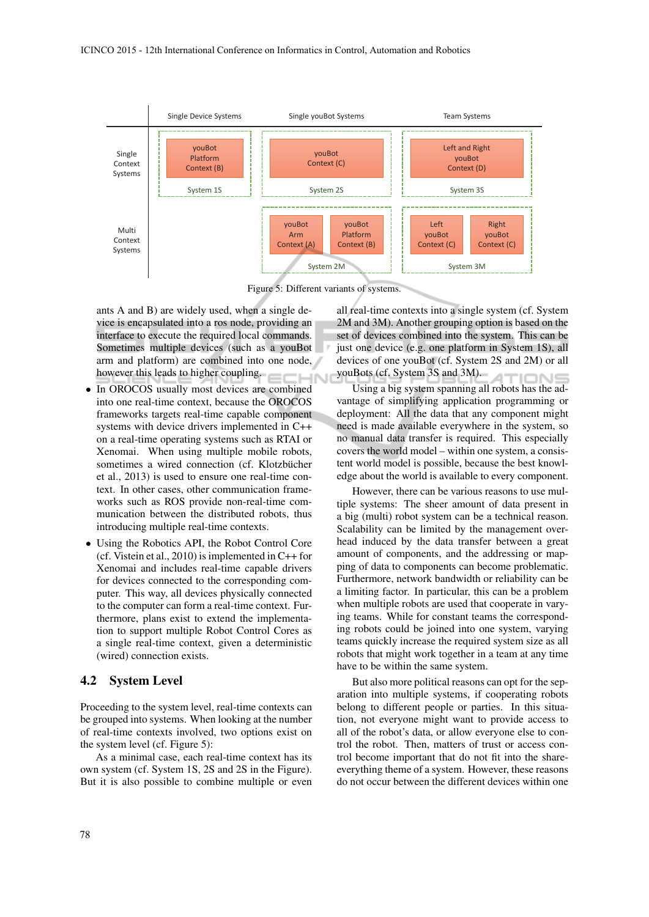

Figure 5: Different variants of systems.

ants A and B) are widely used, when a single device is encapsulated into a ros node, providing an interface to execute the required local commands. Sometimes multiple devices (such as a youBot arm and platform) are combined into one node, however this leads to higher coupling. **IHN** 

- In OROCOS usually most devices are combined into one real-time context, because the OROCOS frameworks targets real-time capable component systems with device drivers implemented in C++ on a real-time operating systems such as RTAI or Xenomai. When using multiple mobile robots, sometimes a wired connection (cf. Klotzbücher et al., 2013) is used to ensure one real-time context. In other cases, other communication frameworks such as ROS provide non-real-time communication between the distributed robots, thus introducing multiple real-time contexts.
- Using the Robotics API, the Robot Control Core (cf. Vistein et al., 2010) is implemented in C++ for Xenomai and includes real-time capable drivers for devices connected to the corresponding computer. This way, all devices physically connected to the computer can form a real-time context. Furthermore, plans exist to extend the implementation to support multiple Robot Control Cores as a single real-time context, given a deterministic (wired) connection exists.

#### 4.2 System Level

Proceeding to the system level, real-time contexts can be grouped into systems. When looking at the number of real-time contexts involved, two options exist on the system level (cf. Figure 5):

As a minimal case, each real-time context has its own system (cf. System 1S, 2S and 2S in the Figure). But it is also possible to combine multiple or even

all real-time contexts into a single system (cf. System 2M and 3M). Another grouping option is based on the set of devices combined into the system. This can be just one device (e.g. one platform in System 1S), all devices of one youBot (cf. System 2S and 2M) or all youBots (cf. System 3S and 3M). IMNS

Using a big system spanning all robots has the advantage of simplifying application programming or deployment: All the data that any component might need is made available everywhere in the system, so no manual data transfer is required. This especially covers the world model – within one system, a consistent world model is possible, because the best knowledge about the world is available to every component.

However, there can be various reasons to use multiple systems: The sheer amount of data present in a big (multi) robot system can be a technical reason. Scalability can be limited by the management overhead induced by the data transfer between a great amount of components, and the addressing or mapping of data to components can become problematic. Furthermore, network bandwidth or reliability can be a limiting factor. In particular, this can be a problem when multiple robots are used that cooperate in varying teams. While for constant teams the corresponding robots could be joined into one system, varying teams quickly increase the required system size as all robots that might work together in a team at any time have to be within the same system.

But also more political reasons can opt for the separation into multiple systems, if cooperating robots belong to different people or parties. In this situation, not everyone might want to provide access to all of the robot's data, or allow everyone else to control the robot. Then, matters of trust or access control become important that do not fit into the shareeverything theme of a system. However, these reasons do not occur between the different devices within one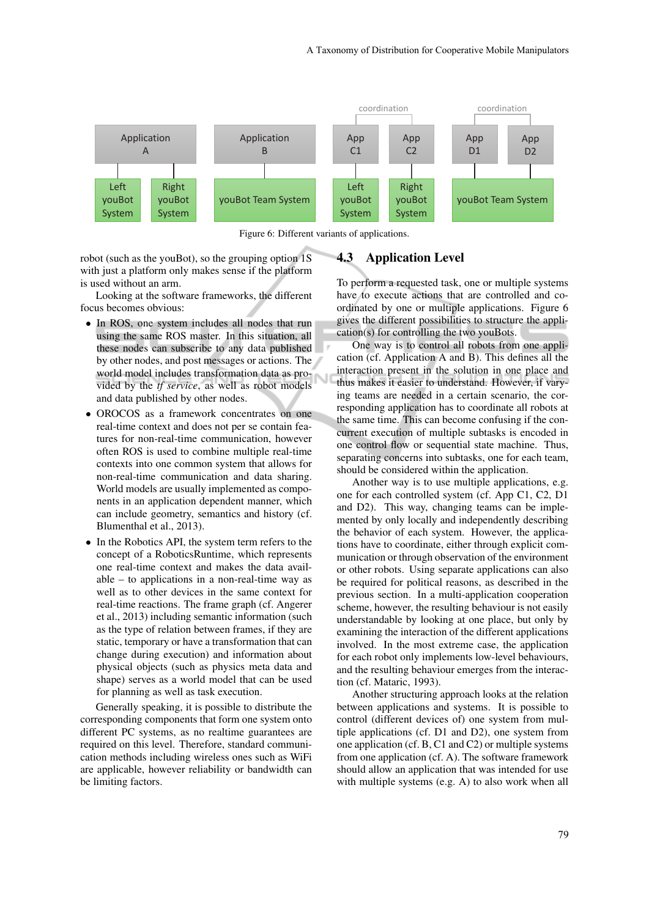

Figure 6: Different variants of applications.

robot (such as the youBot), so the grouping option 1S with just a platform only makes sense if the platform is used without an arm.

Looking at the software frameworks, the different focus becomes obvious:

- In ROS, one system includes all nodes that run using the same ROS master. In this situation, all these nodes can subscribe to any data published by other nodes, and post messages or actions. The world model includes transformation data as provided by the *tf service*, as well as robot models and data published by other nodes.
- OROCOS as a framework concentrates on one real-time context and does not per se contain features for non-real-time communication, however often ROS is used to combine multiple real-time contexts into one common system that allows for non-real-time communication and data sharing. World models are usually implemented as components in an application dependent manner, which can include geometry, semantics and history (cf. Blumenthal et al., 2013).
- In the Robotics API, the system term refers to the concept of a RoboticsRuntime, which represents one real-time context and makes the data available – to applications in a non-real-time way as well as to other devices in the same context for real-time reactions. The frame graph (cf. Angerer et al., 2013) including semantic information (such as the type of relation between frames, if they are static, temporary or have a transformation that can change during execution) and information about physical objects (such as physics meta data and shape) serves as a world model that can be used for planning as well as task execution.

Generally speaking, it is possible to distribute the corresponding components that form one system onto different PC systems, as no realtime guarantees are required on this level. Therefore, standard communication methods including wireless ones such as WiFi are applicable, however reliability or bandwidth can be limiting factors.

#### 4.3 Application Level

To perform a requested task, one or multiple systems have to execute actions that are controlled and coordinated by one or multiple applications. Figure 6 gives the different possibilities to structure the application(s) for controlling the two youBots.

One way is to control all robots from one application (cf. Application A and B). This defines all the interaction present in the solution in one place and thus makes it easier to understand. However, if varying teams are needed in a certain scenario, the corresponding application has to coordinate all robots at the same time. This can become confusing if the concurrent execution of multiple subtasks is encoded in one control flow or sequential state machine. Thus, separating concerns into subtasks, one for each team, should be considered within the application.

Another way is to use multiple applications, e.g. one for each controlled system (cf. App C1, C2, D1 and D2). This way, changing teams can be implemented by only locally and independently describing the behavior of each system. However, the applications have to coordinate, either through explicit communication or through observation of the environment or other robots. Using separate applications can also be required for political reasons, as described in the previous section. In a multi-application cooperation scheme, however, the resulting behaviour is not easily understandable by looking at one place, but only by examining the interaction of the different applications involved. In the most extreme case, the application for each robot only implements low-level behaviours, and the resulting behaviour emerges from the interaction (cf. Mataric, 1993).

Another structuring approach looks at the relation between applications and systems. It is possible to control (different devices of) one system from multiple applications (cf. D1 and D2), one system from one application (cf. B, C1 and C2) or multiple systems from one application (cf. A). The software framework should allow an application that was intended for use with multiple systems (e.g. A) to also work when all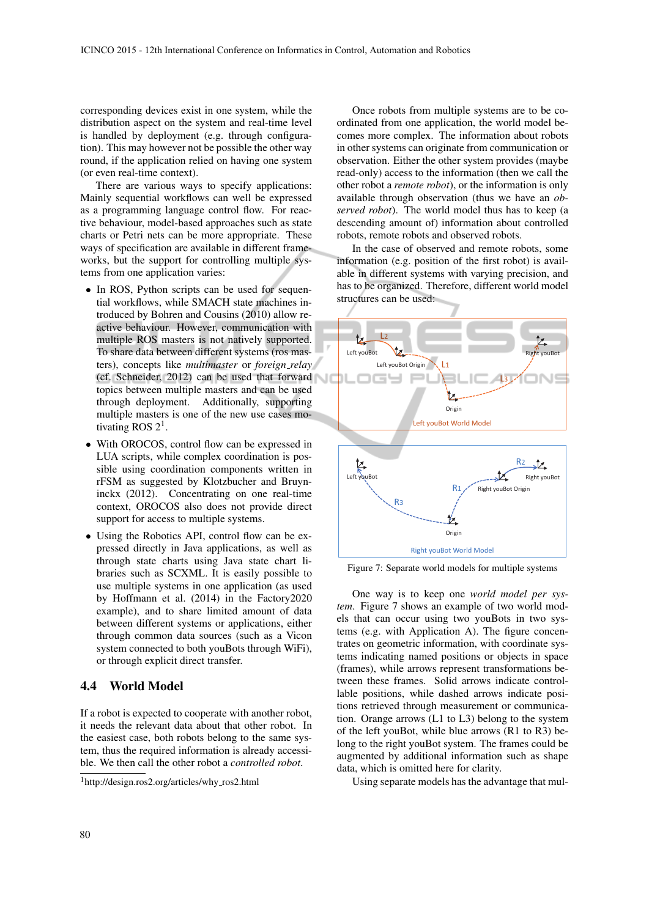corresponding devices exist in one system, while the distribution aspect on the system and real-time level is handled by deployment (e.g. through configuration). This may however not be possible the other way round, if the application relied on having one system (or even real-time context).

There are various ways to specify applications: Mainly sequential workflows can well be expressed as a programming language control flow. For reactive behaviour, model-based approaches such as state charts or Petri nets can be more appropriate. These ways of specification are available in different frameworks, but the support for controlling multiple systems from one application varies:

- In ROS, Python scripts can be used for sequential workflows, while SMACH state machines introduced by Bohren and Cousins (2010) allow reactive behaviour. However, communication with multiple ROS masters is not natively supported. To share data between different systems (ros masters), concepts like *multimaster* or *foreign relay* (cf. Schneider, 2012) can be used that forward topics between multiple masters and can be used through deployment. Additionally, supporting multiple masters is one of the new use cases motivating ROS  $2<sup>1</sup>$ .
- With OROCOS, control flow can be expressed in LUA scripts, while complex coordination is possible using coordination components written in rFSM as suggested by Klotzbucher and Bruyninckx (2012). Concentrating on one real-time context, OROCOS also does not provide direct support for access to multiple systems.
- Using the Robotics API, control flow can be expressed directly in Java applications, as well as through state charts using Java state chart libraries such as SCXML. It is easily possible to use multiple systems in one application (as used by Hoffmann et al. (2014) in the Factory2020 example), and to share limited amount of data between different systems or applications, either through common data sources (such as a Vicon system connected to both youBots through WiFi), or through explicit direct transfer.

## 4.4 World Model

If a robot is expected to cooperate with another robot, it needs the relevant data about that other robot. In the easiest case, both robots belong to the same system, thus the required information is already accessible. We then call the other robot a *controlled robot*.

<sup>1</sup>http://design.ros2.org/articles/why\_ros2.html

Once robots from multiple systems are to be coordinated from one application, the world model becomes more complex. The information about robots in other systems can originate from communication or observation. Either the other system provides (maybe read-only) access to the information (then we call the other robot a *remote robot*), or the information is only available through observation (thus we have an *observed robot*). The world model thus has to keep (a descending amount of) information about controlled robots, remote robots and observed robots.

In the case of observed and remote robots, some information (e.g. position of the first robot) is available in different systems with varying precision, and has to be organized. Therefore, different world model structures can be used:



Figure 7: Separate world models for multiple systems

One way is to keep one *world model per system*. Figure 7 shows an example of two world models that can occur using two youBots in two systems (e.g. with Application A). The figure concentrates on geometric information, with coordinate systems indicating named positions or objects in space (frames), while arrows represent transformations between these frames. Solid arrows indicate controllable positions, while dashed arrows indicate positions retrieved through measurement or communication. Orange arrows (L1 to L3) belong to the system of the left youBot, while blue arrows (R1 to R3) belong to the right youBot system. The frames could be augmented by additional information such as shape data, which is omitted here for clarity.

Using separate models has the advantage that mul-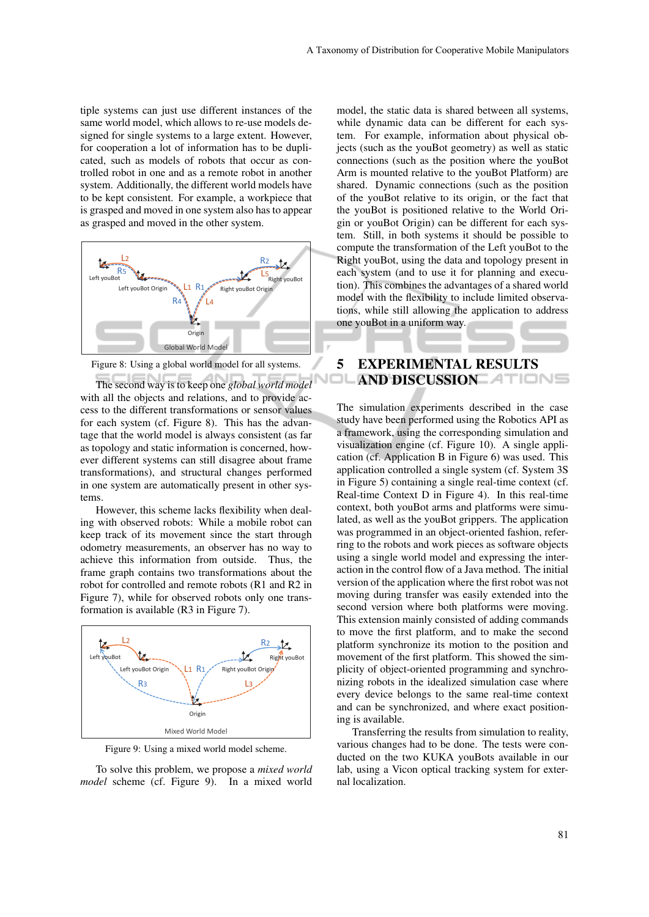tiple systems can just use different instances of the same world model, which allows to re-use models designed for single systems to a large extent. However, for cooperation a lot of information has to be duplicated, such as models of robots that occur as controlled robot in one and as a remote robot in another system. Additionally, the different world models have to be kept consistent. For example, a workpiece that is grasped and moved in one system also has to appear as grasped and moved in the other system.



Figure 8: Using a global world model for all systems.

The second way is to keep one *global world model* with all the objects and relations, and to provide access to the different transformations or sensor values for each system (cf. Figure 8). This has the advantage that the world model is always consistent (as far as topology and static information is concerned, however different systems can still disagree about frame transformations), and structural changes performed in one system are automatically present in other systems.

However, this scheme lacks flexibility when dealing with observed robots: While a mobile robot can keep track of its movement since the start through odometry measurements, an observer has no way to achieve this information from outside. Thus, the frame graph contains two transformations about the robot for controlled and remote robots (R1 and R2 in Figure 7), while for observed robots only one transformation is available (R3 in Figure 7).



Figure 9: Using a mixed world model scheme.

To solve this problem, we propose a *mixed world model* scheme (cf. Figure 9). In a mixed world model, the static data is shared between all systems, while dynamic data can be different for each system. For example, information about physical objects (such as the youBot geometry) as well as static connections (such as the position where the youBot Arm is mounted relative to the youBot Platform) are shared. Dynamic connections (such as the position of the youBot relative to its origin, or the fact that the youBot is positioned relative to the World Origin or youBot Origin) can be different for each system. Still, in both systems it should be possible to compute the transformation of the Left youBot to the Right youBot, using the data and topology present in each system (and to use it for planning and execution). This combines the advantages of a shared world model with the flexibility to include limited observations, while still allowing the application to address one youBot in a uniform way.

## 5 EXPERIMENTAL RESULTS AND DISCUSSION ATIONS

The simulation experiments described in the case study have been performed using the Robotics API as a framework, using the corresponding simulation and visualization engine (cf. Figure 10). A single application (cf. Application B in Figure 6) was used. This application controlled a single system (cf. System 3S in Figure 5) containing a single real-time context (cf. Real-time Context D in Figure 4). In this real-time context, both youBot arms and platforms were simulated, as well as the youBot grippers. The application was programmed in an object-oriented fashion, referring to the robots and work pieces as software objects using a single world model and expressing the interaction in the control flow of a Java method. The initial version of the application where the first robot was not moving during transfer was easily extended into the second version where both platforms were moving. This extension mainly consisted of adding commands to move the first platform, and to make the second platform synchronize its motion to the position and movement of the first platform. This showed the simplicity of object-oriented programming and synchronizing robots in the idealized simulation case where every device belongs to the same real-time context and can be synchronized, and where exact positioning is available.

Transferring the results from simulation to reality, various changes had to be done. The tests were conducted on the two KUKA youBots available in our lab, using a Vicon optical tracking system for external localization.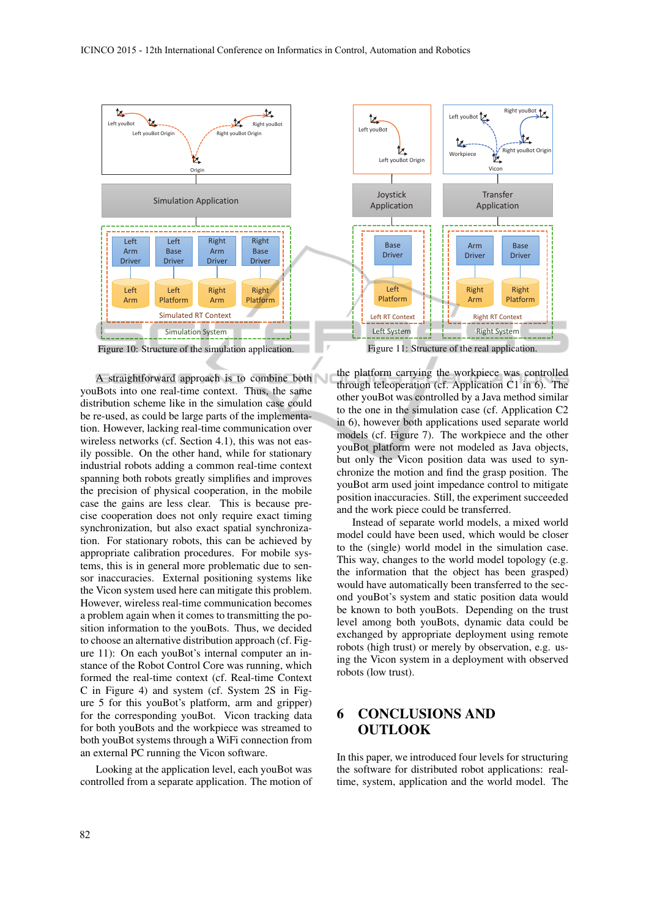

Figure 10: Structure of the simulation application.

A straightforward approach is to combine both youBots into one real-time context. Thus, the same distribution scheme like in the simulation case could be re-used, as could be large parts of the implementation. However, lacking real-time communication over wireless networks (cf. Section 4.1), this was not easily possible. On the other hand, while for stationary industrial robots adding a common real-time context spanning both robots greatly simplifies and improves the precision of physical cooperation, in the mobile case the gains are less clear. This is because precise cooperation does not only require exact timing synchronization, but also exact spatial synchronization. For stationary robots, this can be achieved by appropriate calibration procedures. For mobile systems, this is in general more problematic due to sensor inaccuracies. External positioning systems like the Vicon system used here can mitigate this problem. However, wireless real-time communication becomes a problem again when it comes to transmitting the position information to the youBots. Thus, we decided to choose an alternative distribution approach (cf. Figure 11): On each youBot's internal computer an instance of the Robot Control Core was running, which formed the real-time context (cf. Real-time Context C in Figure 4) and system (cf. System 2S in Figure 5 for this youBot's platform, arm and gripper) for the corresponding youBot. Vicon tracking data for both youBots and the workpiece was streamed to both youBot systems through a WiFi connection from an external PC running the Vicon software.

Looking at the application level, each youBot was controlled from a separate application. The motion of



the platform carrying the workpiece was controlled through teleoperation (cf. Application C1 in 6). The other youBot was controlled by a Java method similar to the one in the simulation case (cf. Application C2 in 6), however both applications used separate world models (cf. Figure 7). The workpiece and the other youBot platform were not modeled as Java objects, but only the Vicon position data was used to synchronize the motion and find the grasp position. The youBot arm used joint impedance control to mitigate position inaccuracies. Still, the experiment succeeded

and the work piece could be transferred.

Instead of separate world models, a mixed world model could have been used, which would be closer to the (single) world model in the simulation case. This way, changes to the world model topology (e.g. the information that the object has been grasped) would have automatically been transferred to the second youBot's system and static position data would be known to both youBots. Depending on the trust level among both youBots, dynamic data could be exchanged by appropriate deployment using remote robots (high trust) or merely by observation, e.g. using the Vicon system in a deployment with observed robots (low trust).

# 6 CONCLUSIONS AND **OUTLOOK**

In this paper, we introduced four levels for structuring the software for distributed robot applications: realtime, system, application and the world model. The